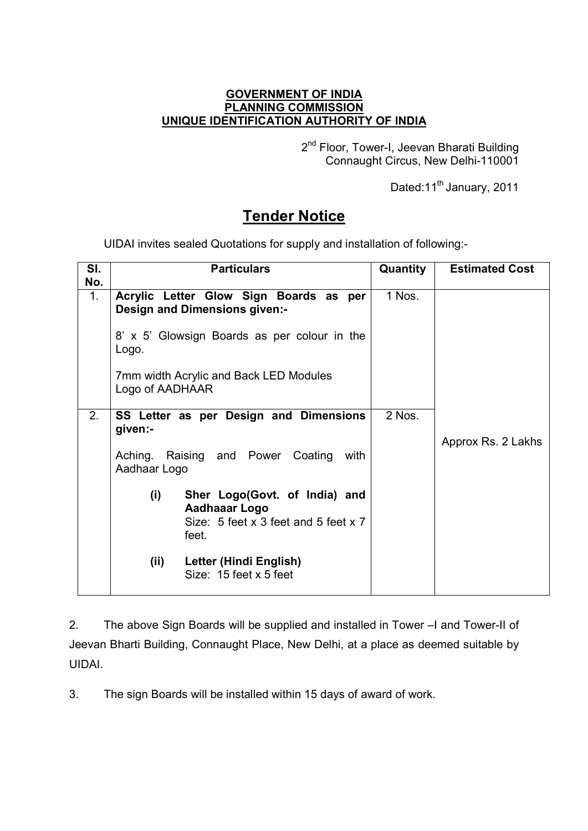## **GOVERNMENT OF INDIA PLANNING COMMISSION UNIQUE IDENTIFICATION AUTHORITY OF INDIA**

2<sup>nd</sup> Floor, Tower-I, Jeevan Bharati Building Connaught Circus, New Delhi-110001

Dated:11<sup>th</sup> January, 2011

## **Tender Notice**

UIDAI invites sealed Quotations for supply and installation of following:-

| SI.                   | <b>Particulars</b>                                                                                                                                                                            | <b>Quantity</b> | <b>Estimated Cost</b> |
|-----------------------|-----------------------------------------------------------------------------------------------------------------------------------------------------------------------------------------------|-----------------|-----------------------|
| No.<br>$\mathbf{1}$ . | Acrylic Letter Glow Sign Boards as per<br>Design and Dimensions given:-<br>8' x 5' Glowsign Boards as per colour in the<br>Logo.<br>7mm width Acrylic and Back LED Modules<br>Logo of AADHAAR | 1 Nos.          |                       |
| 2.                    | SS Letter as per Design and Dimensions<br>given:-<br>Aching. Raising and Power Coating<br>with<br>Aadhaar Logo<br>(i)<br>Sher Logo(Govt. of India) and                                        | 2 Nos.          | Approx Rs. 2 Lakhs    |
|                       | Aadhaaar Logo<br>Size: $5$ feet x 3 feet and $5$ feet x 7<br>feet.<br>(ii)<br>Letter (Hindi English)<br>Size: $15$ feet x 5 feet                                                              |                 |                       |

2. The above Sign Boards will be supplied and installed in Tower –I and Tower-II of Jeevan Bharti Building, Connaught Place, New Delhi, at a place as deemed suitable by UIDAI.

3. The sign Boards will be installed within 15 days of award of work.